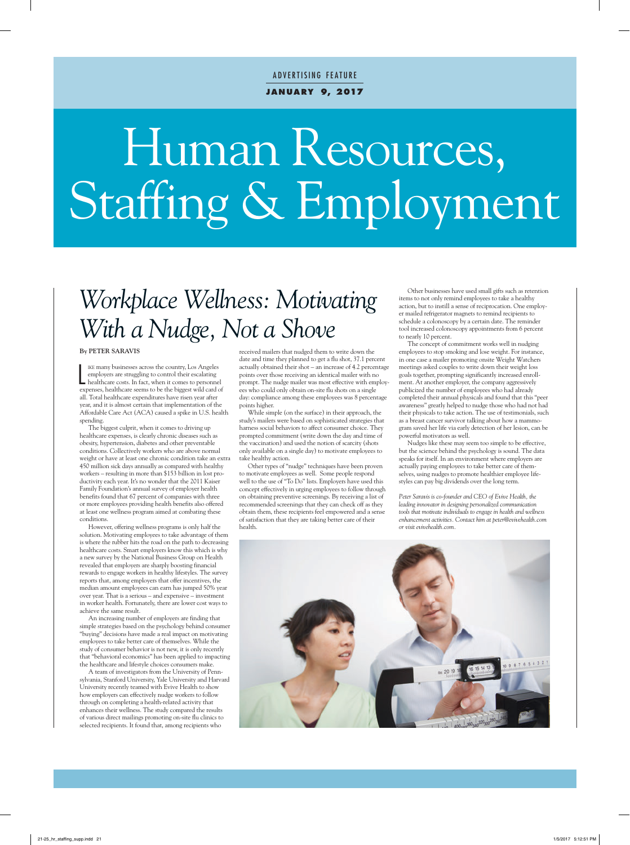#### ADVERTISING FEATURE

#### **ja n ua ry 9, 2017**

# Human Resources, Staffing & Employment

# *Workplace Wellness: Motivating With a Nudge, Not a Shove*

#### **By PETER SARAVIS**

IKE many businesses across the country, Los Angeles<br>employers are struggling to control their escalating<br>healthcare costs. In fact, when it comes to personnel<br>expenses, healthcare seems to be the biggest wild card of ike many businesses across the country, Los Angeles employers are struggling to control their escalating healthcare costs. In fact, when it comes to personnel all. Total healthcare expenditures have risen year after year, and it is almost certain that implementation of the Affordable Care Act (ACA) caused a spike in U.S. health spending.

The biggest culprit, when it comes to driving up healthcare expenses, is clearly chronic diseases such as obesity, hypertension, diabetes and other preventable conditions. Collectively workers who are above normal weight or have at least one chronic condition take an extra 450 million sick days annually as compared with healthy workers – resulting in more than \$153 billion in lost productivity each year. It's no wonder that the 2011 Kaiser Family Foundation's annual survey of employer health benefits found that 67 percent of companies with three or more employees providing health benefits also offered at least one wellness program aimed at combating these conditions.

However, offering wellness programs is only half the solution. Motivating employees to take advantage of them is where the rubber hits the road on the path to decreasing healthcare costs. Smart employers know this which is why a new survey by the National Business Group on Health revealed that employers are sharply boosting financial rewards to engage workers in healthy lifestyles. The survey reports that, among employers that offer incentives, the median amount employees can earn has jumped 50% year over year. That is a serious – and expensive – investment in worker health. Fortunately, there are lower cost ways to achieve the same result.

An increasing number of employers are finding that simple strategies based on the psychology behind consumer "buying" decisions have made a real impact on motivating employees to take better care of themselves. While the study of consumer behavior is not new, it is only recently that "behavioral economics" has been applied to impacting the healthcare and lifestyle choices consumers make.

A team of investigators from the University of Pennsylvania, Stanford University, Yale University and Harvard University recently teamed with Evive Health to show how employers can effectively nudge workers to follow through on completing a health-related activity that enhances their wellness. The study compared the results of various direct mailings promoting on-site flu clinics to selected recipients. It found that, among recipients who

received mailers that nudged them to write down the date and time they planned to get a flu shot, 37.1 percent actually obtained their shot – an increase of 4.2 percentage points over those receiving an identical mailer with no prompt. The nudge mailer was most effective with employees who could only obtain on-site flu shots on a single day: compliance among these employees was 8 percentage points higher.

While simple (on the surface) in their approach, the study's mailers were based on sophisticated strategies that harness social behaviors to affect consumer choice. They prompted commitment (write down the day and time of the vaccination) and used the notion of scarcity (shots only available on a single day) to motivate employees to take healthy action.

Other types of "nudge" techniques have been proven to motivate employees as well. Some people respond well to the use of "To Do" lists. Employers have used this concept effectively in urging employees to follow through on obtaining preventive screenings. By receiving a list of recommended screenings that they can check off as they obtain them, these recipients feel empowered and a sense of satisfaction that they are taking better care of their health.

Other businesses have used small gifts such as retention items to not only remind employees to take a healthy action, but to instill a sense of reciprocation. One employer mailed refrigerator magnets to remind recipients to schedule a colonoscopy by a certain date. The reminder tool increased colonoscopy appointments from 6 percent to nearly 10 percent.

The concept of commitment works well in nudging employees to stop smoking and lose weight. For instance, in one case a mailer promoting onsite Weight Watchers meetings asked couples to write down their weight loss goals together, prompting significantly increased enrollment. At another employer, the company aggressively publicized the number of employees who had already completed their annual physicals and found that this "peer awareness" greatly helped to nudge those who had not had their physicals to take action. The use of testimonials, such as a breast cancer survivor talking about how a mammogram saved her life via early detection of her lesion, can be powerful motivators as well.

Nudges like these may seem too simple to be effective, but the science behind the psychology is sound. The data speaks for itself. In an environment where employers are actually paying employees to take better care of themselves, using nudges to promote healthier employee lifestyles can pay big dividends over the long term.

*Peter Saravis is co-founder and CEO of Evive Health, the leading innovator in designing personalized communication tools that motivate individuals to engage in health and wellness enhancement activities. Contact him at peter@evivehealth.com or visit evivehealth.com.*

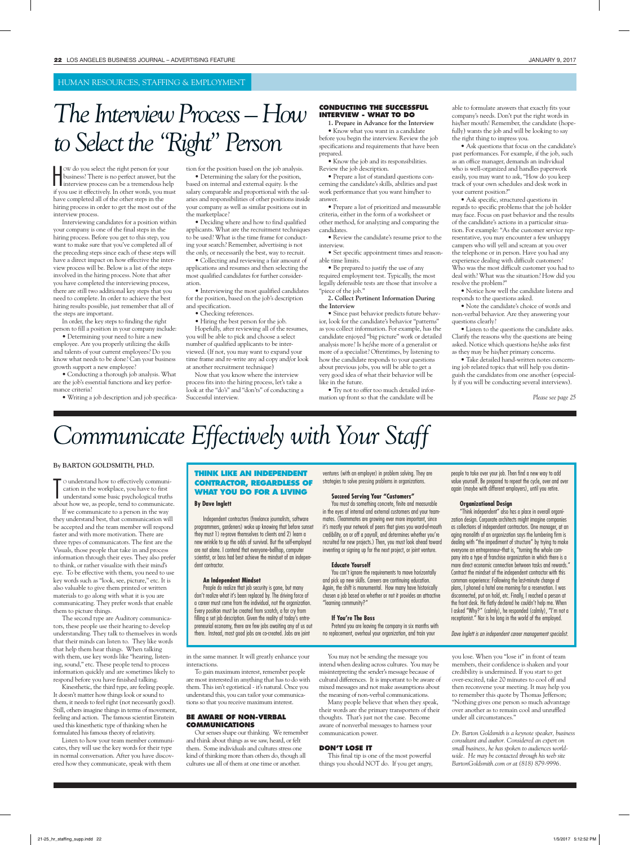# *The Interview Process – How to Select the "Right" Person*

We do you select the right person for your<br>business? There is no perfect answer, but the<br>interview process can be a tremendous help<br>if you was it offectively. In other work, we want ow do you select the right person for your business? There is no perfect answer, but the if you use it effectively. In other words, you must have completed all of the other steps in the hiring process in order to get the most out of the interview process.

Interviewing candidates for a position within your company is one of the final steps in the hiring process. Before you get to this step, you want to make sure that you've completed all of the preceding steps since each of these steps will have a direct impact on how effective the interview process will be. Below is a list of the steps involved in the hiring process. Note that after you have completed the interviewing process, there are still two additional key steps that you need to complete. In order to achieve the best hiring results possible, just remember that all of the steps are important.

In order, the key steps to finding the right person to fill a position in your company include:

• Determining your need to hire a new employee. Are you properly utilizing the skills and talents of your current employees? Do you know what needs to be done? Can your business growth support a new employee?

• Conducting a thorough job analysis. What are the job's essential functions and key performance criteria?

• Writing a job description and job specifica-

tion for the position based on the job analysis.

• Determining the salary for the position, based on internal and external equity. Is the salary comparable and proportional with the salaries and responsibilities of other positions inside your company as well as similar positions out in the marketplace?

• Deciding where and how to find qualified applicants. What are the recruitment techniques to be used? What is the time frame for conducting your search? Remember, advertising is not the only, or necessarily the best, way to recruit.

• Collecting and reviewing a fair amount of applications and resumes and then selecting the most qualified candidates for further consideration.

• Interviewing the most qualified candidates for the position, based on the job's description and specification.

• Checking references.

• Hiring the best person for the job. Hopefully, after reviewing all of the resumes, you will be able to pick and choose a select number of qualified applicants to be interviewed. (If not, you may want to expand your time frame and re-write any ad copy and/or look at another recruitment technique)

Now that you know where the interview process fits into the hiring process, let's take a look at the "do's" and "don'ts" of conducting a Successful interview.

#### **CONDUCTING THE SUCCESSFUL INTERVIEW - WHAT TO DO**

**1. Prepare in Advance for the Interview** • Know what you want in a candidate before you begin the interview. Review the job specifications and requirements that have been prepared.

• Know the job and its responsibilities. Review the job description.

• Prepare a list of standard questions concerning the candidate's skills, abilities and past work performance that you want him/her to answer.

• Prepare a list of prioritized and measurable criteria, either in the form of a worksheet or other method, for analyzing and comparing the candidates.

• Review the candidate's resume prior to the interview.

• Set specific appointment times and reasonable time limits.

• Be prepared to justify the use of any required employment test. Typically, the most legally defensible tests are those that involve a

"piece of the job." **2. Collect Pertinent Information During the Interview** 

• Since past behavior predicts future behavior, look for the candidate's behavior "patterns" as you collect information. For example, has the candidate enjoyed "big picture" work or detailed analysis more? Is he/she more of a generalist or more of a specialist? Oftentimes, by listening to how the candidate responds to your questions about previous jobs, you will be able to get a very good idea of what their behavior will be like in the future.

• Try not to offer too much detailed information up front so that the candidate will be

able to formulate answers that exactly fits your company's needs. Don't put the right words in his/her mouth! Remember, the candidate (hopefully) wants the job and will be looking to say the right thing to impress you.

• Ask questions that focus on the candidate's past performances. For example, if the job, such as an office manager, demands an individual who is well-organized and handles paperwork easily, you may want to ask, "How do you keep track of your own schedules and desk work in your current position?"

• Ask specific, structured questions in regards to specific problems that the job holder may face. Focus on past behavior and the results of the candidate's actions in a particular situation. For example: "As the customer service representative, you may encounter a few unhappy campers who will yell and scream at you over the telephone or in person. Have you had any experience dealing with difficult customers? Who was the most difficult customer you had to deal with? What was the situation? How did you resolve the problem?"

• Notice how well the candidate listens and responds to the questions asked.

• Note the candidate's choice of words and non-verbal behavior. Are they answering your questions clearly?

• Listen to the questions the candidate asks. Clarify the reasons why the questions are being asked. Notice which questions he/she asks first as they may be his/her primary concerns.

• Take detailed hand-written notes concerning job related topics that will help you distinguish the candidates from one another (especially if you will be conducting several interviews).

*Please see page 25*

# *Communicate Effectively with Your Staff*

#### **By BARTON GOLDSMITH, PH.D.**

To understand how to effectively communication in the workplace, you have to first understand some basic psychological truths about how we, as people, tend to communicate. o understand how to effectively communication in the workplace, you have to first understand some basic psychological truths

If we communicate to a person in the way they understand best, that communication will be accepted and the team member will respond faster and with more motivation. There are three types of communicators. The first are the Visuals, those people that take in and process information through their eyes. They also prefer to think, or rather visualize with their mind's eye. To be effective with them, you need to use key words such as "look, see, picture," etc. It is also valuable to give them printed or written materials to go along with what it is you are communicating. They prefer words that enable them to picture things.

The second type are Auditory communicators, these people use their hearing to develop understanding. They talk to themselves in words that their minds can listen to. They like words that help them hear things. When talking with them, use key words like "hearing, listening, sound," etc. These people tend to process information quickly and are sometimes likely to respond before you have finished talking.

Kinesthetic, the third type, are feeling people. It doesn't matter how things look or sound to them, it needs to feel right (not necessarily good). Still, others imagine things in terms of movement, feeling and action. The famous scientist Einstein used this kinesthetic type of thinking when he formulated his famous theory of relativity.

Listen to how your team member communicates, they will use the key words for their type in normal conversation. After you have discovered how they communicate, speak with them

#### **THINK LIKE AN INDEPENDENT CONTRACTOR, REGARDLESS OF WHAT YOU DO FOR A LIVING**

#### **By Dave Inglett**

Independent contractors (freelance journalists, software programmers, gardeners) wake up knowing that before sunset they must 1) re-prove themselves to clients and 2) learn a new wrinkle to up the odds of survival. But the self-employed are not alone. I contend that everyone-bellhop, computer scientist, or boss had best achieve the mindset of an independent contractor.

#### **An Independent Mindset**

People do realize that job security is gone, but many don't realize what it's been replaced by. The driving force of a career must come from the individual, not the organization. Every position must be created from scratch, a far cry from filling a set job description. Given the reality of today's entrepreneurial economy, there are few jobs awaiting any of us out there. Instead, most good jobs are co-created. Jobs are joint

in the same manner. It will greatly enhance your interactions.

To gain maximum interest, remember people are most interested in anything that has to do with them. This isn't egotistical - it's natural. Once you understand this, you can tailor your communications so that you receive maximum interest.

#### **BE AWARE OF NON-VERBAL COMMUNICATIONS**

Our senses shape our thinking. We remember and think about things as we saw, heard, or felt them. Some individuals and cultures stress one kind of thinking more than others do, though all cultures use all of them at one time or another.

ventures (with an employer) in problem solving. They are strategies to solve pressing problems in organizations.

#### **Succeed Serving Your "Customers"**

You must do something concrete, finite and measurable in the eyes of internal and external customers and your teammates. (Teammates are growing ever more important, since it's mostly your network of peers that gives you word-of-mouth credibility, on or off a payroll, and determines whether you're recruited for new projects.) Then, you must look ahead toward inventing or signing up for the next project, or joint venture.

#### **Educate Yourself**

You can't ignore the requirements to move horizontally and pick up new skills. Careers are continuing education. Again, the shift is monumental. How many have historically chosen a job based on whether or not it provides an attractive "learning community?"

#### **If You're The Boss**

Pretend you are leaving the company in six months with no replacement, overhaul your organization, and train your

You may not be sending the message you intend when dealing across cultures. You may be misinterpreting the sender's message because of cultural differences. It is important to be aware of mixed messages and not make assumptions about the meaning of non-verbal communications.

Many people believe that when they speak, their words are the primary transporters of their thoughts. That's just not the case. Become aware of nonverbal messages to harness your communication power.

#### **DON'T LOSE IT**

This final tip is one of the most powerful things you should NOT do. If you get angry,

people to take over your job. Then find a new way to add value yourself. Be prepared to repeat the cycle, over and over again (maybe with different employers), until you retire.

#### **Organizational Design**

"Think independent" also has a place in overall organization design. Corporate architects might imagine companies as collections of independent contractors. One manager, at an aging monolith of an organization says the lumbering firm is dealing with "the impediment of structure" by trying to make everyone an entrepreneur--that is, "turning the whole company into a type of franchise organization in which there is a more direct economic connection between tasks and rewards." Contract the mindset of the independent contractor with this common experience: Following the last-minute change of plans, I phoned a hotel one morning for a reservation. I was disconnected, put on hold, etc. Finally, I reached a person at the front desk. He flatly declared he couldn't help me. When I asked "Why?" (calmly), he responded (calmly), "I'm not a receptionist." Nor is he long in the world of the employed.

*Dave Inglett is an independent career management specialist.*

you lose. When you "lose it" in front of team members, their confidence is shaken and your credibility is undermined. If you start to get over-excited, take 20 minutes to cool off and then reconvene your meeting. It may help you to remember this quote by Thomas Jefferson; "Nothing gives one person so much advantage over another as to remain cool and unruffled under all circumstances."

*Dr. Barton Goldsmith is a keynote speaker, business consultant and author. Considered an expert on small business, he has spoken to audiences worldwide. He may be contacted through his web site BartonGoldsmith.com or at (818) 879-9996.*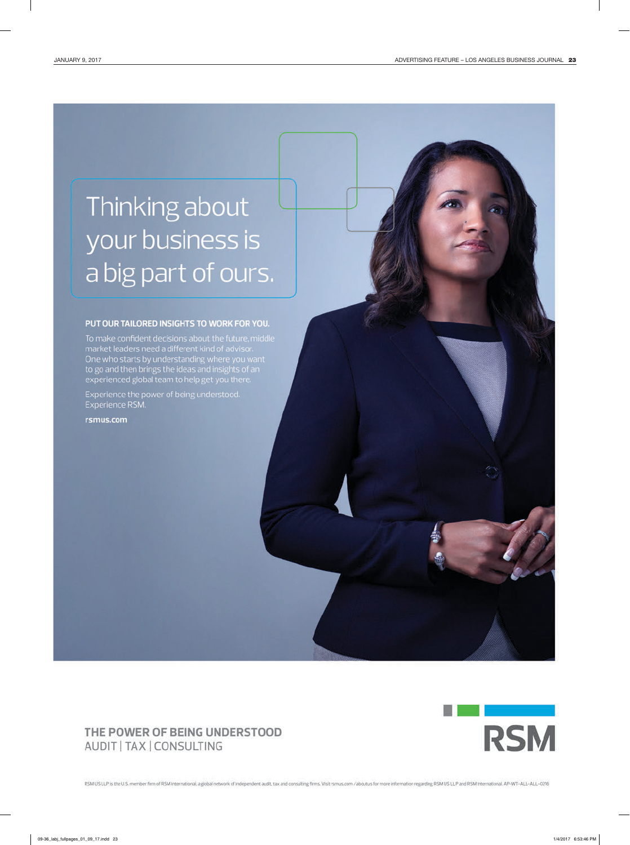# Thinking about your business is a big part of ours.

#### PUT OUR TAILORED INSIGHTS TO WORK FOR YOU.

To make confident decisions about the future, middle market leaders need a different kind of advisor. One who starts by understanding where you want to go and then brings the ideas and insights of an experienced global team to help get you there.

Experience the power of being understood. Experience RSM.

rsmus.com



#### THE POWER OF BEING UNDERSTOOD AUDIT | TAX | CONSULTING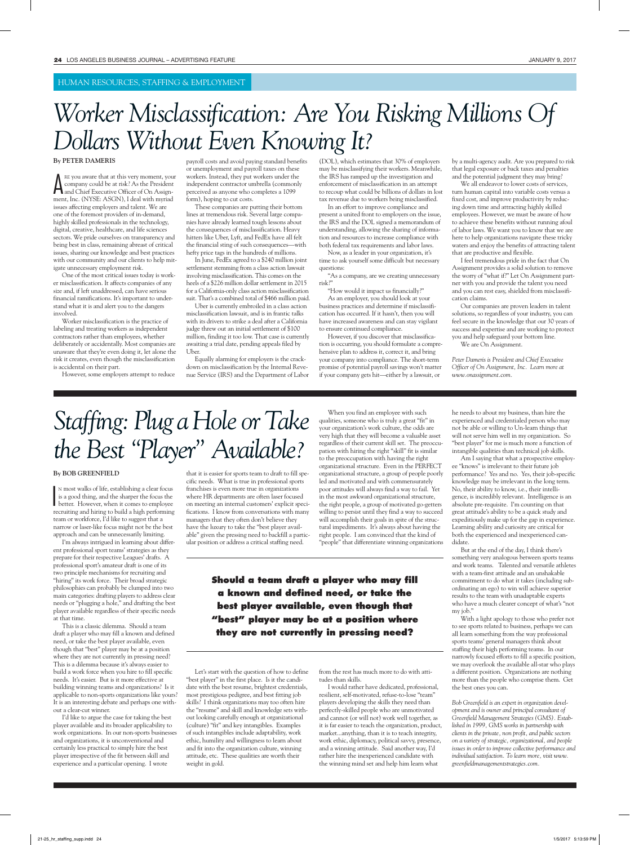# *Worker Misclassification: Are You Risking Millions Of Dollars Without Even Knowing It?*

#### **By PETER DAMERIS**

A RE you aware that at this very moment, you<br>company could be at risk? As the President<br>and Chief Executive Officer of On Assign-<br>mont, Ine (NNSE, ASCN), Lacel with muried re you aware that at this very moment, your company could be at risk? As the President ment, Inc. (NYSE: ASGN), I deal with myriad issues affecting employers and talent. We are one of the foremost providers of in-demand, highly skilled professionals in the technology, digital, creative, healthcare, and life sciences sectors. We pride ourselves on transparency and being best in class, remaining abreast of critical issues, sharing our knowledge and best practices with our community and our clients to help mitigate unnecessary employment risk.

One of the most critical issues today is worker misclassification. It affects companies of any size and, if left unaddressed, can have serious financial ramifications. It's important to understand what it is and alert you to the dangers involved.

Worker misclassification is the practice of labeling and treating workers as independent contractors rather than employees, whether deliberately or accidentally. Most companies are unaware that they're even doing it, let alone the risk it creates, even though the misclassification is accidental on their part.

However, some employers attempt to reduce

payroll costs and avoid paying standard benefits or unemployment and payroll taxes on these workers. Instead, they put workers under the independent contractor umbrella (commonly perceived as anyone who completes a 1099 form), hoping to cut costs.

These companies are putting their bottom lines at tremendous risk. Several large companies have already learned tough lessons about the consequences of misclassification. Heavy hitters like Uber, Lyft, and FedEx have all felt the financial sting of such consequences—with hefty price tags in the hundreds of millions.

In June, FedEx agreed to a \$240 million joint settlement stemming from a class action lawsuit involving misclassification. This comes on the heels of a \$226 million dollar settlement in 2015 for a California-only class action misclassification suit. That's a combined total of \$466 million paid.

Uber is currently embroiled in a class action misclassification lawsuit, and is in frantic talks with its drivers to strike a deal after a California judge threw out an initial settlement of \$100 million, finding it too low. That case is currently awaiting a trial date, pending appeals filed by Uber.

Equally alarming for employers is the crackdown on misclassification by the Internal Revenue Service (IRS) and the Department of Labor (DOL), which estimates that 30% of employers may be misclassifying their workers. Meanwhile, the IRS has ramped up the investigation and enforcement of misclassification in an attempt to recoup what could be billions of dollars in lost tax revenue due to workers being misclassified.

In an effort to improve compliance and present a united front to employers on the issue, the IRS and the DOL signed a memorandum of understanding, allowing the sharing of information and resources to increase compliance with both federal tax requirements and labor laws.

Now, as a leader in your organization, it's time to ask yourself some difficult but necessary questions:

"As a company, are we creating unnecessary risk?"

"How would it impact us financially?" As an employer, you should look at your business practices and determine if misclassification has occurred. If it hasn't, then you will have increased awareness and can stay vigilant to ensure continued compliance.

However, if you discover that misclassification is occurring, you should formulate a comprehensive plan to address it, correct it, and bring your company into compliance. The short-term promise of potential payroll savings won't matter if your company gets hit—either by a lawsuit, or

by a multi-agency audit. Are you prepared to risk that legal exposure or back taxes and penalties and the potential judgment they may bring?

We all endeavor to lower costs of services, turn human capital into variable costs versus a fixed cost, and improve productivity by reducing down time and attracting highly skilled employees. However, we must be aware of how to achieve these benefits without running afoul of labor laws. We want you to know that we are here to help organizations navigate these tricky waters and enjoy the benefits of attracting talent that are productive and flexible.

I feel tremendous pride in the fact that On Assignment provides a solid solution to remove the worry of "what if?" Let On Assignment partner with you and provide the talent you need and you can rest easy, shielded from misclassification claims.

Our companies are proven leaders in talent solutions, so regardless of your industry, you can feel secure in the knowledge that our 30 years of success and expertise and are working to protect you and help safeguard your bottom line. We are On Assignment.

*Peter Dameris is President and Chief Executive Officer of On Assignment, Inc. Learn more at www.onassignment.com.*

# *Staffing: Plug a Hole or Take the Best "Player" Available?*

#### **By BOB GREENFIELD**

N most walks of life, establishing a clear focus<br>is a good thing, and the sharper the focus the<br>better. However, when it comes to employee<br>recruiting and hiring to build a high performing n most walks of life, establishing a clear focus is a good thing, and the sharper the focus the better. However, when it comes to employee team or workforce, I'd like to suggest that a narrow or laser-like focus might not be the best approach and can be unnecessarily limiting.

I'm always intrigued in learning about different professional sport teams' strategies as they prepare for their respective Leagues' drafts. A professional sport's amateur draft is one of its two principle mechanisms for recruiting and "hiring" its work force. Their broad strategic philosophies can probably be clumped into two main categories: drafting players to address clear needs or "plugging a hole," and drafting the best player available regardless of their specific needs at that time.

This is a classic dilemma. Should a team draft a player who may fill a known and defined need, or take the best player available, even though that "best" player may be at a position where they are not currently in pressing need? This is a dilemma because it's always easier to build a work force when you hire to fill specific needs. It's easier. But is it more effective at building winning teams and organizations? Is it applicable to non-sports organizations like yours? It is an interesting debate and perhaps one without a clear-cut winner.

I'd like to argue the case for taking the best player available and its broader applicability to work organizations. In our non-sports businesses and organizations, it is unconventional and certainly less practical to simply hire the best player irrespective of the fit between skill and experience and a particular opening. I wrote

that it is easier for sports team to draft to fill specific needs. What is true in professional sports franchises is even more true in organizations where HR departments are often laser focused on meeting an internal customers' explicit specifications. I know from conversations with many managers that they often don't believe they have the luxury to take the "best player available" given the pressing need to backfill a particular position or address a critical staffing need.

When you find an employee with such qualities, someone who is truly a great "fit" in your organization's work culture, the odds are very high that they will become a valuable asset regardless of their current skill set. The preoccupation with hiring the right "skill" fit is similar to the preoccupation with having the right organizational structure. Even in the PERFECT organizational structure, a group of people poorly led and motivated and with commensurately poor attitudes will always find a way to fail. Yet in the most awkward organizational structure, the right people, a group of motivated go-getters willing to persist until they find a way to succeed will accomplish their goals in spite of the structural impediments. It's always about having the right people. I am convinced that the kind of "people" that differentiate winning organizations

**Should a team draft a player who may fill a known and defined need, or take the best player available, even though that "best" player may be at a position where they are not currently in pressing need?** 

Let's start with the question of how to define "best player" in the first place. Is it the candidate with the best resume, brightest credentials, most prestigious pedigree, and best fitting job skills? I think organizations may too often hire the "resume" and skill and knowledge sets without looking carefully enough at organizational (culture) "fit" and key intangibles. Examples of such intangibles include adaptability, work ethic, humility and willingness to learn about and fit into the organization culture, winning attitude, etc. These qualities are worth their weight in gold.

from the rest has much more to do with attitudes than skills.

I would rather have dedicated, professional, resilient, self-motivated, refuse-to-lose "team" players developing the skills they need than perfectly-skilled people who are unmotivated and cannot (or will not) work well together, as it is far easier to teach the organization, product, market...anything, than it is to teach integrity, work ethic, diplomacy, political savvy, presence, and a winning attitude. Said another way, I'd rather hire the inexperienced candidate with the winning mind set and help him learn what

he needs to about my business, than hire the experienced and credentialed person who may not be able or willing to Un-learn things that will not serve him well in my organization. So "best player" for me is much more a function of intangible qualities than technical job skills.

Am I saying that what a prospective employee "knows" is irrelevant to their future job performance? Yes and no. Yes, their job-specific knowledge may be irrelevant in the long term. No, their ability to know, i.e., their intelligence, is incredibly relevant. Intelligence is an absolute pre-requisite. I'm counting on that great attitude's ability to be a quick study and expeditiously make up for the gap in experience. Learning ability and curiosity are critical for both the experienced and inexperienced candidate.

But at the end of the day, I think there's something very analogous between sports teams and work teams. Talented and versatile athletes with a team-first attitude and an unshakable commitment to do what it takes (including subordinating an ego) to win will achieve superior results to the team with unadaptable experts who have a much clearer concept of what's "not my job."

With a light apology to those who prefer not to see sports related to business, perhaps we can all learn something from the way professional sports teams' general managers think about staffing their high performing teams. In our narrowly focused efforts to fill a specific position, we may overlook the available all-star who plays a different position. Organizations are nothing more than the people who comprise them. Get the best ones you can.

*Bob Greenfield is an expert in organization development and is owner and principal consultant of Greenfield Management Strategies (GMS). Established in 1999, GMS works in partnership with clients in the private, non profit, and public sectors on a variety of strategic, organizational, and people issues in order to improve collective performance and individual satisfaction. To learn more, visit www. greenfieldmanagementstrategies.com.*